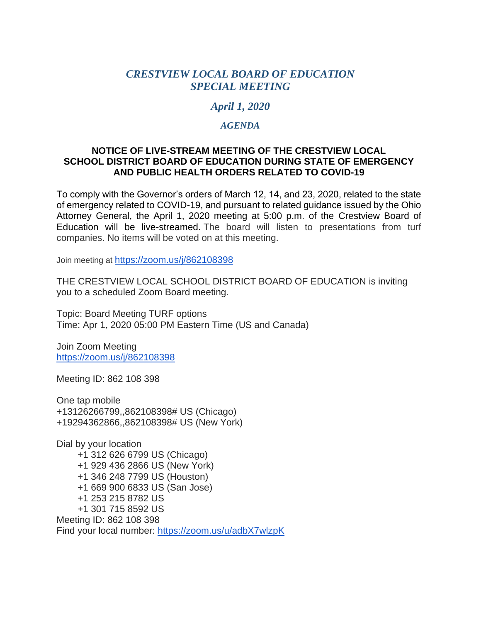## *CRESTVIEW LOCAL BOARD OF EDUCATION SPECIAL MEETING*

## *April 1, 2020*

### *AGENDA*

#### **NOTICE OF LIVE-STREAM MEETING OF THE CRESTVIEW LOCAL SCHOOL DISTRICT BOARD OF EDUCATION DURING STATE OF EMERGENCY AND PUBLIC HEALTH ORDERS RELATED TO COVID-19**

To comply with the Governor's orders of March 12, 14, and 23, 2020, related to the state of emergency related to COVID-19, and pursuant to related guidance issued by the Ohio Attorney General, the April 1, 2020 meeting at 5:00 p.m. of the Crestview Board of Education will be live-streamed. The board will listen to presentations from turf companies. No items will be voted on at this meeting.

Join meeting at <https://zoom.us/j/862108398>

THE CRESTVIEW LOCAL SCHOOL DISTRICT BOARD OF EDUCATION is inviting you to a scheduled Zoom Board meeting.

Topic: Board Meeting TURF options Time: Apr 1, 2020 05:00 PM Eastern Time (US and Canada)

Join Zoom Meeting <https://zoom.us/j/862108398>

Meeting ID: 862 108 398

One tap mobile +13126266799,,862108398# US (Chicago) +19294362866,,862108398# US (New York)

Dial by your location +1 312 626 6799 US (Chicago) +1 929 436 2866 US (New York) +1 346 248 7799 US (Houston) +1 669 900 6833 US (San Jose) +1 253 215 8782 US +1 301 715 8592 US Meeting ID: 862 108 398 Find your local number: <https://zoom.us/u/adbX7wlzpK>